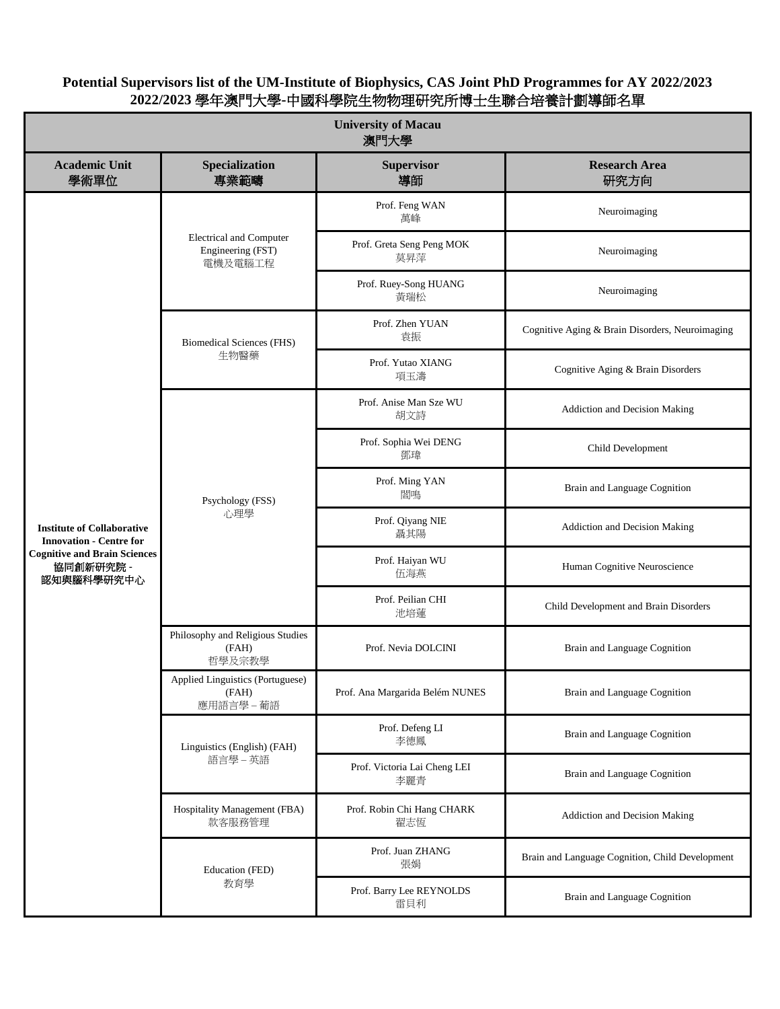| <b>University of Macau</b><br>澳門大學                                                                                                    |                                                                |                                     |                                                 |  |  |
|---------------------------------------------------------------------------------------------------------------------------------------|----------------------------------------------------------------|-------------------------------------|-------------------------------------------------|--|--|
| <b>Academic Unit</b><br>學術單位                                                                                                          | Specialization<br>專業範疇                                         | <b>Supervisor</b><br>導師             | <b>Research Area</b><br>研究方向                    |  |  |
| <b>Institute of Collaborative</b><br><b>Innovation - Centre for</b><br><b>Cognitive and Brain Sciences</b><br>協同創新研究院 -<br>認知與腦科學研究中心 | <b>Electrical and Computer</b><br>Engineering (FST)<br>電機及電腦工程 | Prof. Feng WAN<br>萬峰                | Neuroimaging                                    |  |  |
|                                                                                                                                       |                                                                | Prof. Greta Seng Peng MOK<br>莫昇萍    | Neuroimaging                                    |  |  |
|                                                                                                                                       |                                                                | Prof. Ruey-Song HUANG<br>黃瑞松        | Neuroimaging                                    |  |  |
|                                                                                                                                       | <b>Biomedical Sciences (FHS)</b><br>生物醫藥                       | Prof. Zhen YUAN<br>袁振               | Cognitive Aging & Brain Disorders, Neuroimaging |  |  |
|                                                                                                                                       |                                                                | Prof. Yutao XIANG<br>項玉濤            | Cognitive Aging & Brain Disorders               |  |  |
|                                                                                                                                       | Psychology (FSS)<br>心理學                                        | Prof. Anise Man Sze WU<br>胡文詩       | Addiction and Decision Making                   |  |  |
|                                                                                                                                       |                                                                | Prof. Sophia Wei DENG<br>鄧瑋         | Child Development                               |  |  |
|                                                                                                                                       |                                                                | Prof. Ming YAN<br>閻鳴                | Brain and Language Cognition                    |  |  |
|                                                                                                                                       |                                                                | Prof. Qiyang NIE<br>聶其陽             | Addiction and Decision Making                   |  |  |
|                                                                                                                                       |                                                                | Prof. Haiyan WU<br>伍海燕              | Human Cognitive Neuroscience                    |  |  |
|                                                                                                                                       |                                                                | Prof. Peilian CHI<br>池培蓮            | Child Development and Brain Disorders           |  |  |
|                                                                                                                                       | Philosophy and Religious Studies<br>(FAH)<br>哲學及宗教學            | Prof. Nevia DOLCINI                 | Brain and Language Cognition                    |  |  |
|                                                                                                                                       | Applied Linguistics (Portuguese)<br>(FAH)<br>應用語言學 - 葡語        | Prof. Ana Margarida Belém NUNES     | Brain and Language Cognition                    |  |  |
|                                                                                                                                       | Linguistics (English) (FAH)<br>語言學-英語                          | Prof. Defeng LI<br>李德鳳              | Brain and Language Cognition                    |  |  |
|                                                                                                                                       |                                                                | Prof. Victoria Lai Cheng LEI<br>李麗青 | Brain and Language Cognition                    |  |  |
|                                                                                                                                       | Hospitality Management (FBA)<br>款客服務管理                         | Prof. Robin Chi Hang CHARK<br>翟志恆   | Addiction and Decision Making                   |  |  |
|                                                                                                                                       | Education (FED)<br>教育學                                         | Prof. Juan ZHANG<br>張娟              | Brain and Language Cognition, Child Development |  |  |
|                                                                                                                                       |                                                                | Prof. Barry Lee REYNOLDS<br>雷貝利     | Brain and Language Cognition                    |  |  |

**Potential Supervisors list of the UM-Institute of Biophysics, CAS Joint PhD Programmes for AY 2022/2023 2022/2023** 學年澳門大學**-**中國科學院生物物理研究所博士生聯合培養計劃導師名單